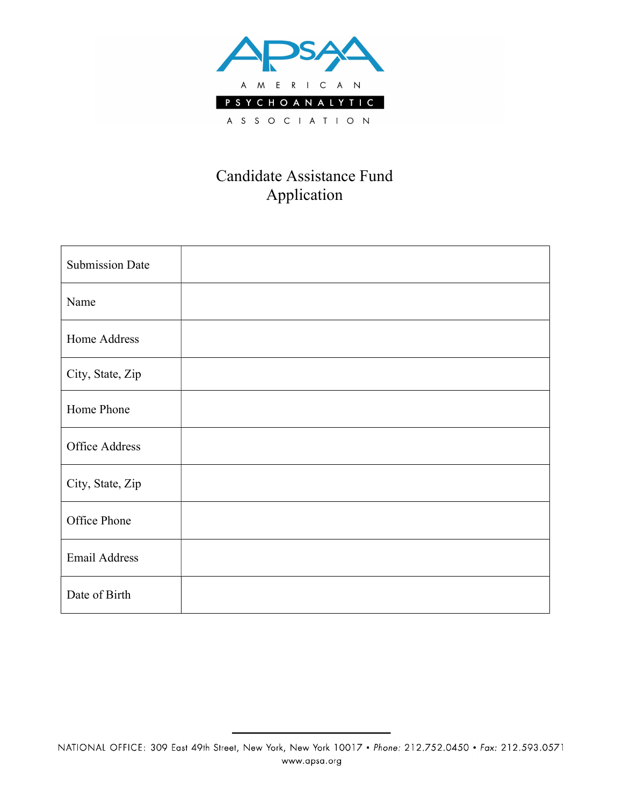

## Candidate Assistance Fund Application

| <b>Submission Date</b> |  |
|------------------------|--|
| Name                   |  |
| Home Address           |  |
| City, State, Zip       |  |
| Home Phone             |  |
| <b>Office Address</b>  |  |
| City, State, Zip       |  |
| Office Phone           |  |
| <b>Email Address</b>   |  |
| Date of Birth          |  |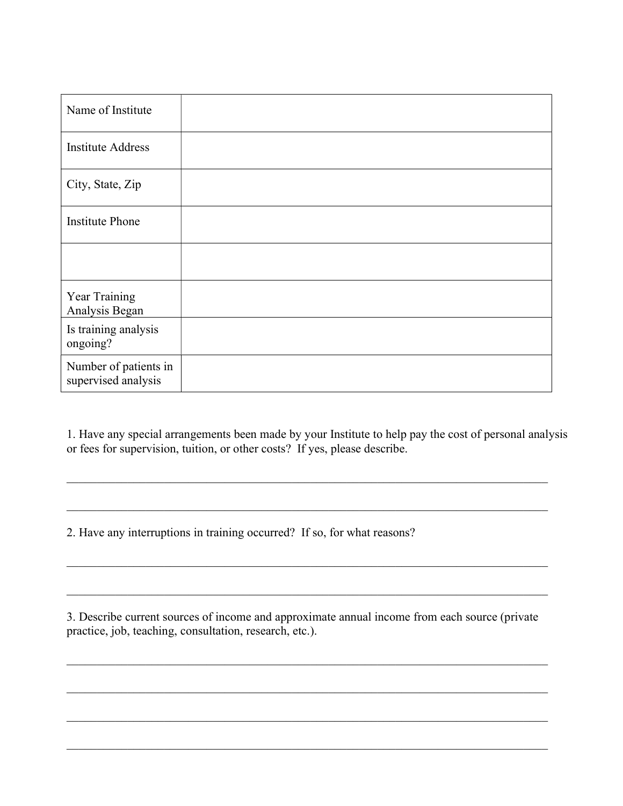| Name of Institute                            |  |
|----------------------------------------------|--|
| <b>Institute Address</b>                     |  |
| City, State, Zip                             |  |
| <b>Institute Phone</b>                       |  |
|                                              |  |
| Year Training<br>Analysis Began              |  |
| Is training analysis<br>ongoing?             |  |
| Number of patients in<br>supervised analysis |  |

1. Have any special arrangements been made by your Institute to help pay the cost of personal analysis or fees for supervision, tuition, or other costs? If yes, please describe.

 $\_$  , and the set of the set of the set of the set of the set of the set of the set of the set of the set of the set of the set of the set of the set of the set of the set of the set of the set of the set of the set of th

2. Have any interruptions in training occurred? If so, for what reasons?

3. Describe current sources of income and approximate annual income from each source (private practice, job, teaching, consultation, research, etc.).

 $\_$  , and the set of the set of the set of the set of the set of the set of the set of the set of the set of the set of the set of the set of the set of the set of the set of the set of the set of the set of the set of th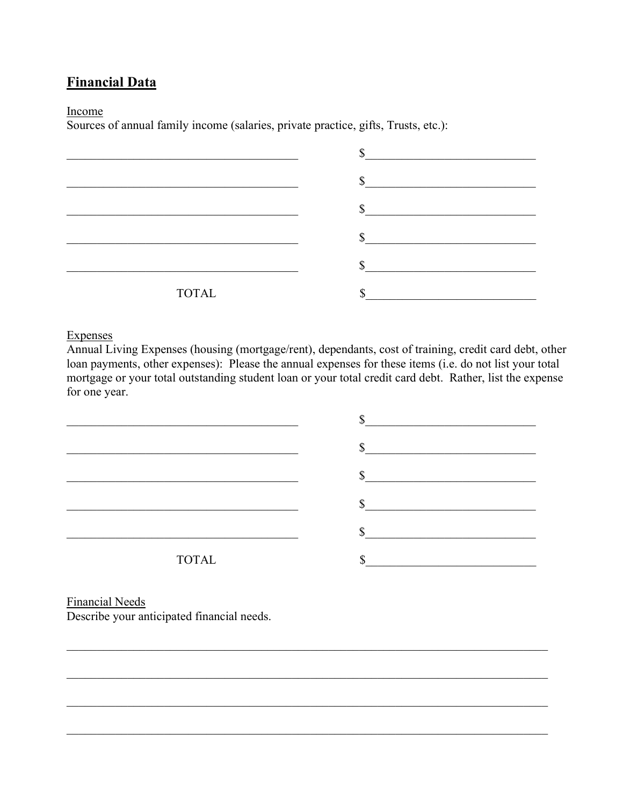### **Financial Data**

#### Income

Sources of annual family income (salaries, private practice, gifts, Trusts, etc.):

|              | ╓        |
|--------------|----------|
|              | ₼        |
|              | $\Gamma$ |
|              | œ        |
| <b>TOTAL</b> |          |

#### **Expenses**

Annual Living Expenses (housing (mortgage/rent), dependants, cost of training, credit card debt, other loan payments, other expenses): Please the annual expenses for these items (i.e. do not list your total mortgage or your total outstanding student loan or your total credit card debt. Rather, list the expense for one year.



**Financial Needs** Describe your anticipated financial needs.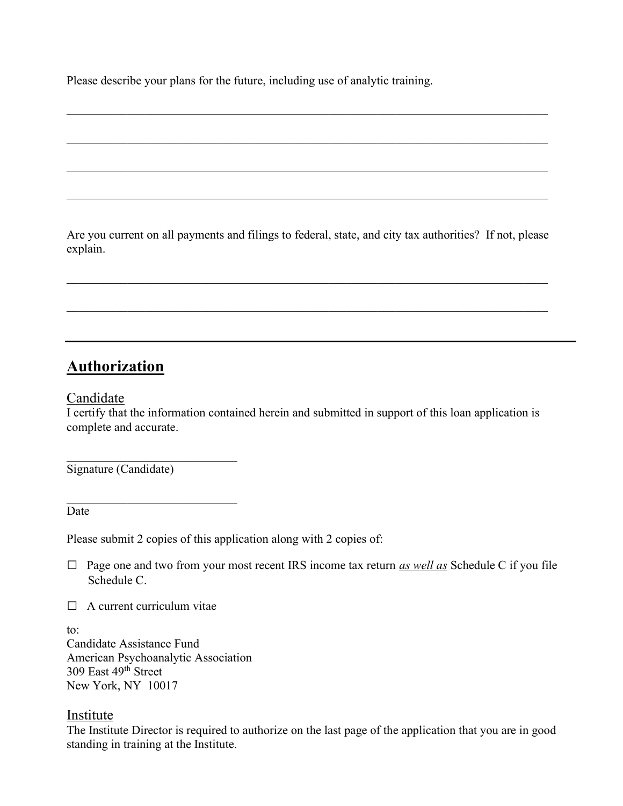Please describe your plans for the future, including use of analytic training.

Are you current on all payments and filings to federal, state, and city tax authorities? If not, please explain.

 $\_$  , and the set of the set of the set of the set of the set of the set of the set of the set of the set of the set of the set of the set of the set of the set of the set of the set of the set of the set of the set of th

## **Authorization**

Candidate

I certify that the information contained herein and submitted in support of this loan application is complete and accurate.

Signature (Candidate)

 $\mathcal{L}_\text{max}$  , and the set of the set of the set of the set of the set of the set of the set of the set of the set of the set of the set of the set of the set of the set of the set of the set of the set of the set of the

 $\mathcal{L}_\text{max}$  , and the set of the set of the set of the set of the set of the set of the set of the set of the set of the set of the set of the set of the set of the set of the set of the set of the set of the set of the

Date

Please submit 2 copies of this application along with 2 copies of:

 $\Box$  Page one and two from your most recent IRS income tax return as well as Schedule C if you file Schedule C.

 $\Box$  A current curriculum vitae

to:

Candidate Assistance Fund American Psychoanalytic Association 309 East 49<sup>th</sup> Street New York, NY 10017

### Institute

The Institute Director is required to authorize on the last page of the application that you are in good standing in training at the Institute.